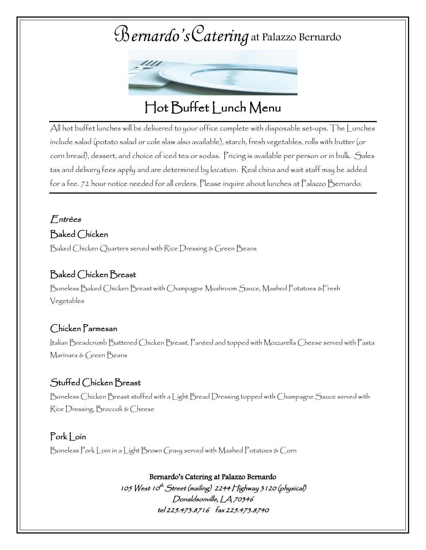

## Hot Buffet Lunch Menu

All hot buffet lunches will be delivered to your office complete with disposable set-ups. The Lunches include salad (potato salad or cole slaw also available), starch, fresh vegetables, rolls with butter (or corn bread), dessert, and choice of iced tea or sodas. Pricing is available per person or in bulk. Sales tax and delivery fees apply and are determined by location. Real china and wait staff may be added for a fee. 72 hour notice needed for all orders. Please inquire about lunches at Palazzo Bernardo.

## Entrèes

#### Baked Chicken

Baked Chicken Quarters served with Rice Dressing & Green Beans

#### Baked Chicken Breast

Boneless Baked Chicken Breast with Champagne Mushroom Sauce, Mashed Potatoes &Fresh Vegetables

#### Chicken Parmesan

Italian Breadcrumb Battered Chicken Breast, Panéed and topped with Mozzarella Cheese served with Pasta Marinara & Green Beans

#### Stuffed Chicken Breast

Boneless Chicken Breast stuffed with a Light Bread Dressing topped with Champagne Sauce served with Rice Dressing, Broccoli & Cheese

#### Pork Loin

Boneless Pork Loin in a Light Brown Gravy served with Mashed Potatoes & Corn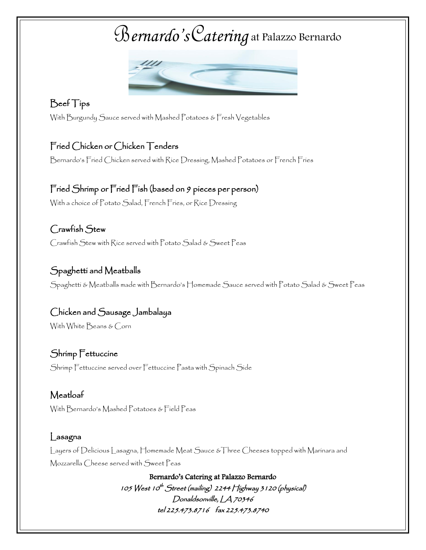

### Beef Tips

With Burgundy Sauce served with Mashed Potatoes & Fresh Vegetables

### Fried Chicken or Chicken Tenders

Bernardo's Fried Chicken served with Rice Dressing, Mashed Potatoes or French Fries

# Fried Shrimp or Fried Fish (based on 9 pieces per person)

With a choice of Potato Salad, French Fries, or Rice Dressing

## Crawfish Stew Crawfish Stew with Rice served with Potato Salad & Sweet Peas

### Spaghetti and Meatballs

Spaghetti & Meatballs made with Bernardo's Homemade Sauce served with Potato Salad & Sweet Peas

## Chicken and Sausage Jambalaya

With White Beans & Corn

#### Shrimp Fettuccine

Shrimp Fettuccine served over Fettuccine Pasta with Spinach Side

## Meatloaf

With Bernardo's Mashed Potatoes & Field Peas

#### Lasagna

Layers of Delicious Lasagna, Homemade Meat Sauce &Three Cheeses topped with Marinara and Mozzarella Cheese served with Sweet Peas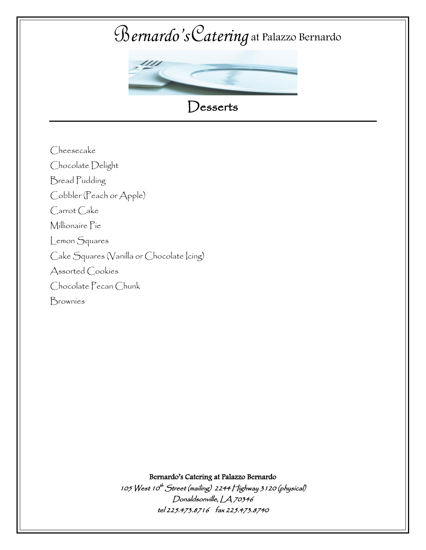

Cheesecake Chocolate Delight Bread Pudding Cobbler (Peach or Apple) Carrot Cake Millionaire Pie Lemon Squares Cake Squares (Vanilla or Chocolate Icing) Assorted Cookies Chocolate Pecan Chunk Brownies